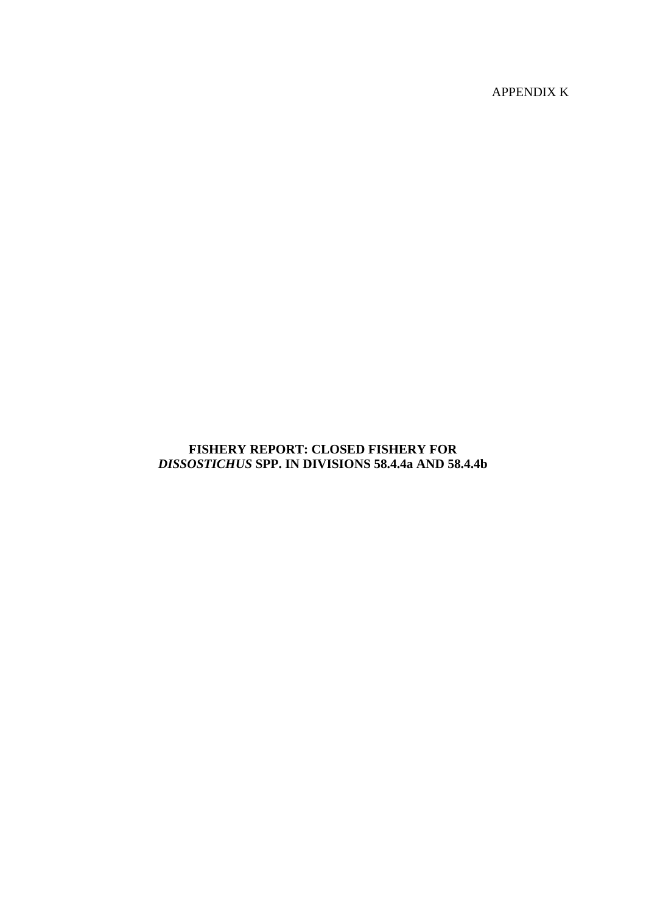APPENDIX K

## **FISHERY REPORT: CLOSED FISHERY FOR**  *DISSOSTICHUS* **SPP. IN DIVISIONS 58.4.4a AND 58.4.4b**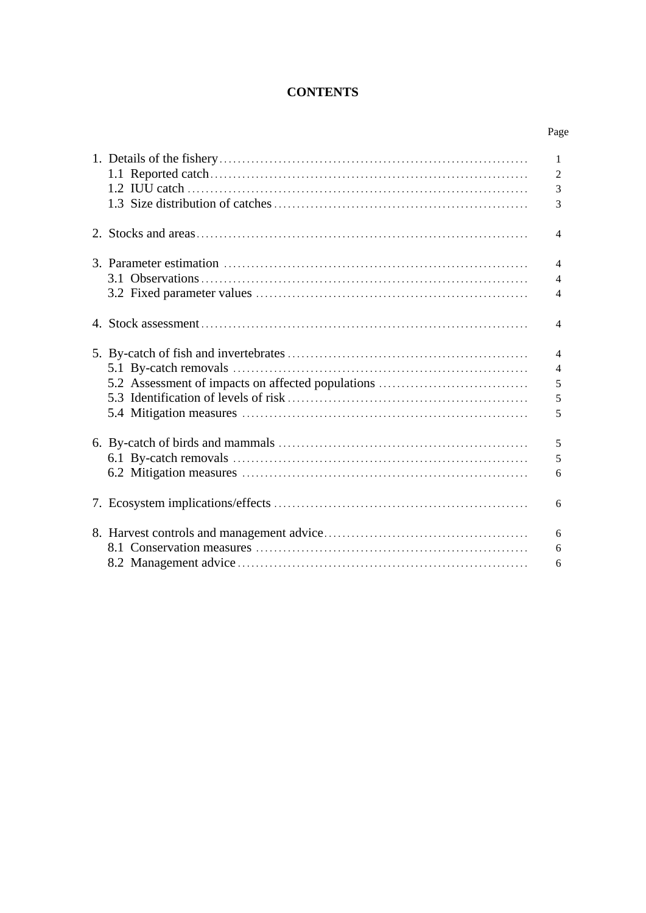# **CONTENTS**

| I |
|---|
|---|

|                                                   | $\mathbf{1}$<br>$\overline{2}$ |
|---------------------------------------------------|--------------------------------|
|                                                   | 3                              |
|                                                   | 3                              |
|                                                   |                                |
|                                                   | $\overline{4}$                 |
|                                                   | $\overline{4}$                 |
|                                                   | $\overline{4}$                 |
|                                                   |                                |
|                                                   | $\overline{4}$                 |
|                                                   | $\overline{4}$                 |
|                                                   | $\overline{4}$                 |
|                                                   | $\overline{4}$                 |
| 5.2 Assessment of impacts on affected populations | 5                              |
|                                                   |                                |
|                                                   | 5                              |
|                                                   | 5                              |
|                                                   | 5                              |
|                                                   | 5                              |
|                                                   |                                |
|                                                   | 6                              |
|                                                   | 6                              |
|                                                   |                                |
|                                                   | 6                              |
|                                                   | 6                              |
|                                                   | 6                              |
|                                                   |                                |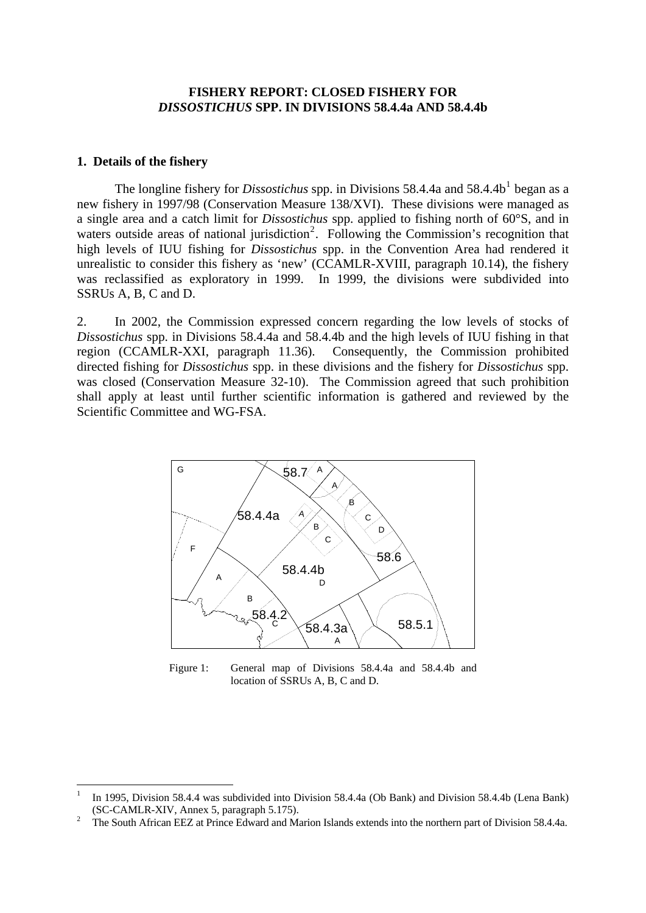#### **FISHERY REPORT: CLOSED FISHERY FOR**  *DISSOSTICHUS* **SPP. IN DIVISIONS 58.4.4a AND 58.4.4b**

#### <span id="page-2-0"></span>**1. Details of the fishery**

1

The longline fishery for *Dissostichus* spp. in Divisions 58.4.4a and 58.4.4b<sup>[1](#page-2-1)</sup> began as a new fishery in 1997/98 (Conservation Measure 138/XVI). These divisions were managed as a single area and a catch limit for *Dissostichus* spp. applied to fishing north of 60°S, and in waters outside areas of national jurisdiction<sup>[2](#page-2-2)</sup>. Following the Commission's recognition that high levels of IUU fishing for *Dissostichus* spp. in the Convention Area had rendered it unrealistic to consider this fishery as 'new' (CCAMLR-XVIII, paragraph 10.14), the fishery was reclassified as exploratory in 1999. In 1999, the divisions were subdivided into SSRUs A, B, C and D.

2. In 2002, the Commission expressed concern regarding the low levels of stocks of *Dissostichus* spp. in Divisions 58.4.4a and 58.4.4b and the high levels of IUU fishing in that region (CCAMLR-XXI, paragraph 11.36). Consequently, the Commission prohibited directed fishing for *Dissostichus* spp. in these divisions and the fishery for *Dissostichus* spp. was closed (Conservation Measure 32-10). The Commission agreed that such prohibition shall apply at least until further scientific information is gathered and reviewed by the Scientific Committee and WG-FSA.



Figure 1: General map of Divisions 58.4.4a and 58.4.4b and location of SSRUs A, B, C and D.

<span id="page-2-1"></span><sup>1</sup> In 1995, Division 58.4.4 was subdivided into Division 58.4.4a (Ob Bank) and Division 58.4.4b (Lena Bank) (SC-CAMLR-XIV, Annex 5, paragraph 5.175). 2

<span id="page-2-2"></span>The South African EEZ at Prince Edward and Marion Islands extends into the northern part of Division 58.4.4a.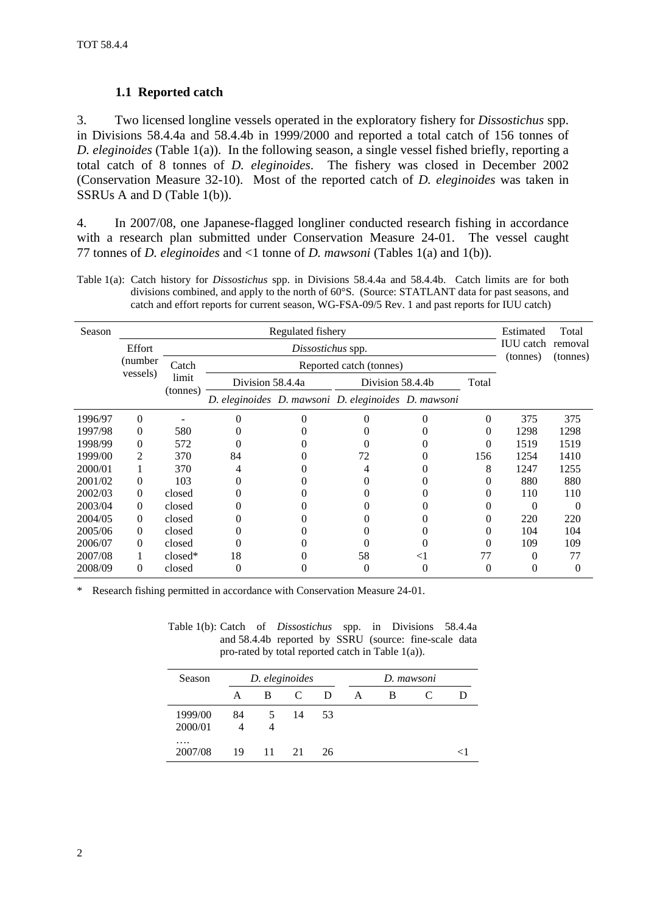### **1.1 Reported catch**

<span id="page-3-0"></span>3. Two licensed longline vessels operated in the exploratory fishery for *Dissostichus* spp. in Divisions 58.4.4a and 58.4.4b in 1999/2000 and reported a total catch of 156 tonnes of *D. eleginoides* (Table 1(a)). In the following season, a single vessel fished briefly, reporting a total catch of 8 tonnes of *D. eleginoides*. The fishery was closed in December 2002 (Conservation Measure 32-10). Most of the reported catch of *D. eleginoides* was taken in SSRUs A and D (Table 1(b)).

4. In 2007/08, one Japanese-flagged longliner conducted research fishing in accordance with a research plan submitted under Conservation Measure 24-01. The vessel caught 77 tonnes of *D. eleginoides* and <1 tonne of *D. mawsoni* (Tables 1(a) and 1(b)).

Table 1(a): Catch history for *Dissostichus* spp. in Divisions 58.4.4a and 58.4.4b. Catch limits are for both divisions combined, and apply to the north of 60°S. (Source: STATLANT data for past seasons, and catch and effort reports for current season, WG-FSA-09/5 Rev. 1 and past reports for IUU catch)

| Season  | Regulated fishery    |                   |                         |   |                                                     |       |                  | Estimated<br><b>IUU</b> catch | Total    |
|---------|----------------------|-------------------|-------------------------|---|-----------------------------------------------------|-------|------------------|-------------------------------|----------|
|         | Effort               |                   | Dissostichus spp.       |   |                                                     |       |                  |                               | removal  |
|         | (number)<br>vessels) | Catch             | Reported catch (tonnes) |   |                                                     |       |                  | (tonnes)                      | (tonnes) |
|         |                      | limit<br>(tonnes) | Division 58.4.4a        |   | Division 58.4.4b                                    |       | Total            |                               |          |
|         |                      |                   |                         |   | D. eleginoides D. mawsoni D. eleginoides D. mawsoni |       |                  |                               |          |
| 1996/97 | $\Omega$             |                   | 0                       | 0 |                                                     | 0     | $\Omega$         | 375                           | 375      |
| 1997/98 | $\Omega$             | 580               |                         |   |                                                     |       | $\left( \right)$ | 1298                          | 1298     |
| 1998/99 | $\Omega$             | 572               |                         |   |                                                     |       | 0                | 1519                          | 1519     |
| 1999/00 | 2                    | 370               | 84                      |   | 72                                                  |       | 156              | 1254                          | 1410     |
| 2000/01 |                      | 370               |                         |   |                                                     |       | 8                | 1247                          | 1255     |
| 2001/02 | $\Omega$             | 103               |                         |   |                                                     |       |                  | 880                           | 880      |
| 2002/03 | $\Omega$             | closed            |                         |   |                                                     |       |                  | 110                           | 110      |
| 2003/04 | $\Omega$             | closed            |                         |   |                                                     |       |                  | $\Omega$                      | 0        |
| 2004/05 | $\Omega$             | closed            |                         |   |                                                     |       |                  | 220                           | 220      |
| 2005/06 | $\Omega$             | closed            |                         |   |                                                     |       |                  | 104                           | 104      |
| 2006/07 | $\Omega$             | closed            |                         |   |                                                     |       |                  | 109                           | 109      |
| 2007/08 |                      | $closed*$         | 18                      |   | 58                                                  | $<$ 1 | 77               | 0                             | 77       |
| 2008/09 | $\Omega$             | closed            | 0                       |   | 0                                                   | 0     | 0                | $\theta$                      | $\Omega$ |

Research fishing permitted in accordance with Conservation Measure 24-01.

Table 1(b): Catch of *Dissostichus* spp. in Divisions 58.4.4a and 58.4.4b reported by SSRU (source: fine-scale data pro-rated by total reported catch in Table 1(a)).

| Season              | D. eleginoides |    |                             |    | D. mawsoni |   |  |  |  |
|---------------------|----------------|----|-----------------------------|----|------------|---|--|--|--|
|                     | A              | B. | $\mathcal{C}_{\mathcal{C}}$ | D  | А          | B |  |  |  |
| 1999/00             | 84             | 5  | 14                          | 53 |            |   |  |  |  |
| 2000/01             |                |    |                             |    |            |   |  |  |  |
| $\cdots$<br>2007/08 | 19             | 11 | 21                          | 26 |            |   |  |  |  |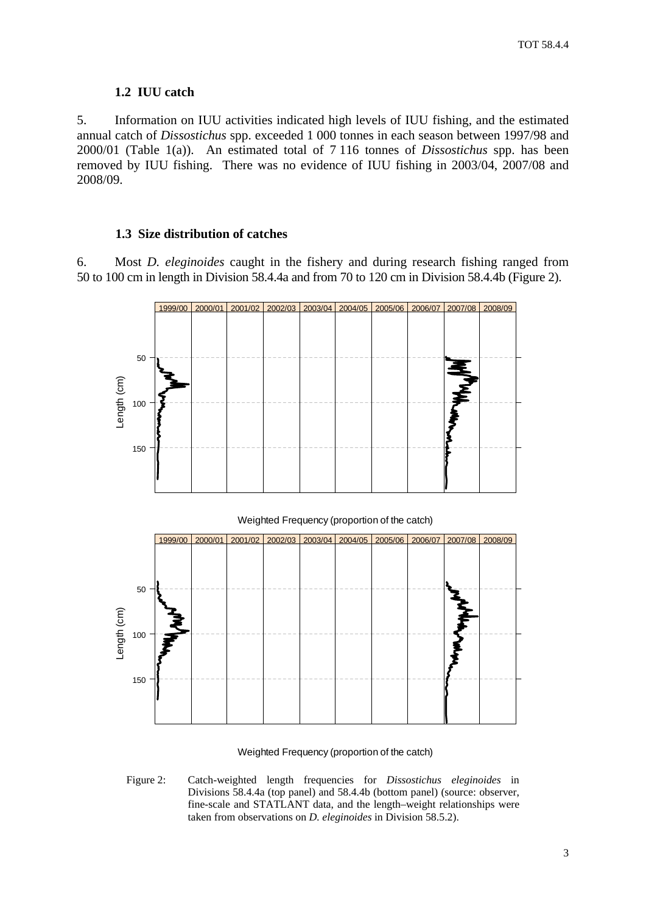#### **1.2 IUU catch**

<span id="page-4-0"></span>5. Information on IUU activities indicated high levels of IUU fishing, and the estimated annual catch of *Dissostichus* spp. exceeded 1 000 tonnes in each season between 1997/98 and 2000/01 (Table 1(a)). An estimated total of 7 116 tonnes of *Dissostichus* spp. has been removed by IUU fishing. There was no evidence of IUU fishing in 2003/04, 2007/08 and 2008/09.

#### **1.3 Size distribution of catches**

6. Most *D. eleginoides* caught in the fishery and during research fishing ranged from 50 to 100 cm in length in Division 58.4.4a and from 70 to 120 cm in Division 58.4.4b (Figure 2).





#### Weighted Frequency (proportion of the catch)

Figure 2: Catch-weighted length frequencies for *Dissostichus eleginoides* in Divisions 58.4.4a (top panel) and 58.4.4b (bottom panel) (source: observer, fine-scale and STATLANT data, and the length–weight relationships were taken from observations on *D. eleginoides* in Division 58.5.2).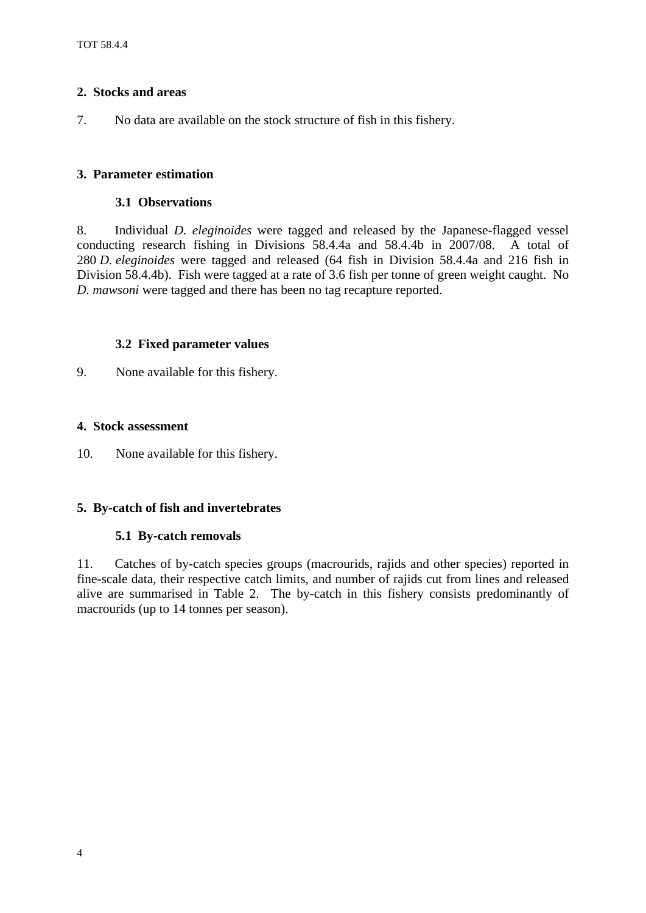### <span id="page-5-0"></span>**2. Stocks and areas**

7. No data are available on the stock structure of fish in this fishery.

### **3. Parameter estimation**

#### **3.1 Observations**

8. Individual *D. eleginoides* were tagged and released by the Japanese-flagged vessel conducting research fishing in Divisions 58.4.4a and 58.4.4b in 2007/08. A total of 280 *D. eleginoides* were tagged and released (64 fish in Division 58.4.4a and 216 fish in Division 58.4.4b). Fish were tagged at a rate of 3.6 fish per tonne of green weight caught. No *D. mawsoni* were tagged and there has been no tag recapture reported.

### **3.2 Fixed parameter values**

9. None available for this fishery.

### **4. Stock assessment**

10. None available for this fishery.

### **5. By-catch of fish and invertebrates**

#### **5.1 By-catch removals**

11. Catches of by-catch species groups (macrourids, rajids and other species) reported in fine-scale data, their respective catch limits, and number of rajids cut from lines and released alive are summarised in Table 2. The by-catch in this fishery consists predominantly of macrourids (up to 14 tonnes per season).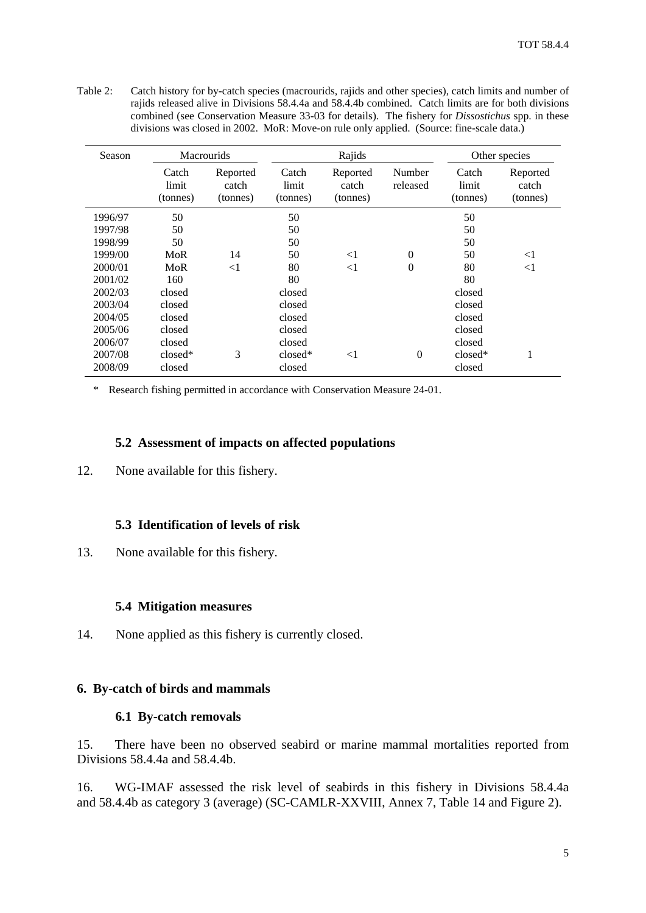<span id="page-6-0"></span>Table 2: Catch history for by-catch species (macrourids, rajids and other species), catch limits and number of rajids released alive in Divisions 58.4.4a and 58.4.4b combined. Catch limits are for both divisions combined (see Conservation Measure 33-03 for details). The fishery for *Dissostichus* spp. in these divisions was closed in 2002. MoR: Move-on rule only applied. (Source: fine-scale data.)

| Season  | <b>Macrourids</b>          |                               |                            | Rajids                        | Other species      |                            |                               |  |  |
|---------|----------------------------|-------------------------------|----------------------------|-------------------------------|--------------------|----------------------------|-------------------------------|--|--|
|         | Catch<br>limit<br>(tonnes) | Reported<br>catch<br>(tonnes) | Catch<br>limit<br>(tonnes) | Reported<br>catch<br>(tonnes) | Number<br>released | Catch<br>limit<br>(tonnes) | Reported<br>catch<br>(tonnes) |  |  |
| 1996/97 | 50                         |                               | 50                         |                               |                    | 50                         |                               |  |  |
| 1997/98 | 50                         |                               | 50                         |                               |                    | 50                         |                               |  |  |
| 1998/99 | 50                         |                               | 50                         |                               |                    | 50                         |                               |  |  |
| 1999/00 | MoR                        | 14                            | 50                         | $\leq$ 1                      | $\Omega$           | 50                         | $<$ 1                         |  |  |
| 2000/01 | MoR                        | $\leq$ 1                      | 80                         | $<$ 1                         | $\Omega$           | 80                         | $<$ 1                         |  |  |
| 2001/02 | 160                        |                               | 80                         |                               |                    | 80                         |                               |  |  |
| 2002/03 | closed                     |                               | closed                     |                               |                    | closed                     |                               |  |  |
| 2003/04 | closed                     |                               | closed                     |                               |                    | closed                     |                               |  |  |
| 2004/05 | closed                     |                               | closed                     |                               |                    | closed                     |                               |  |  |
| 2005/06 | closed                     |                               | closed                     |                               |                    | closed                     |                               |  |  |
| 2006/07 | closed                     |                               | closed                     |                               |                    | closed                     |                               |  |  |
| 2007/08 | $closed*$                  | 3                             | $closed*$                  | $\leq$ 1                      | $\theta$           | $closed*$                  | 1                             |  |  |
| 2008/09 | closed                     |                               | closed                     |                               |                    | closed                     |                               |  |  |

\* Research fishing permitted in accordance with Conservation Measure 24-01.

#### **5.2 Assessment of impacts on affected populations**

12. None available for this fishery.

#### **5.3 Identification of levels of risk**

13. None available for this fishery.

#### **5.4 Mitigation measures**

14. None applied as this fishery is currently closed.

#### **6. By-catch of birds and mammals**

#### **6.1 By-catch removals**

15. There have been no observed seabird or marine mammal mortalities reported from Divisions 58.4.4a and 58.4.4b.

16. WG-IMAF assessed the risk level of seabirds in this fishery in Divisions 58.4.4a and 58.4.4b as category 3 (average) (SC-CAMLR-XXVIII, Annex 7, Table 14 and Figure 2).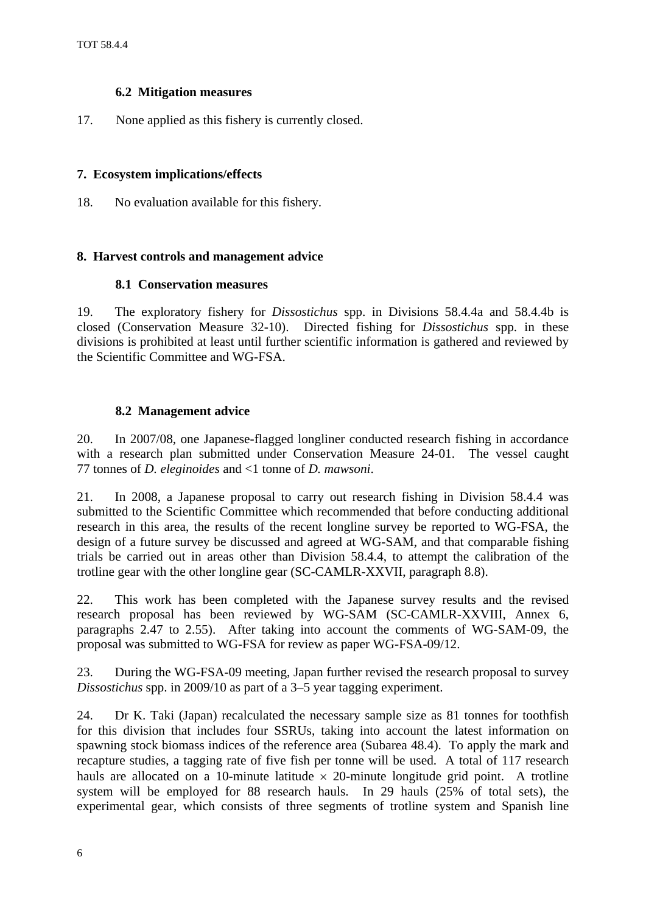#### **6.2 Mitigation measures**

<span id="page-7-0"></span>17. None applied as this fishery is currently closed.

### **7. Ecosystem implications/effects**

18. No evaluation available for this fishery.

## **8. Harvest controls and management advice**

### **8.1 Conservation measures**

19. The exploratory fishery for *Dissostichus* spp. in Divisions 58.4.4a and 58.4.4b is closed (Conservation Measure 32-10). Directed fishing for *Dissostichus* spp. in these divisions is prohibited at least until further scientific information is gathered and reviewed by the Scientific Committee and WG-FSA.

### **8.2 Management advice**

20. In 2007/08, one Japanese-flagged longliner conducted research fishing in accordance with a research plan submitted under Conservation Measure 24-01. The vessel caught 77 tonnes of *D. eleginoides* and <1 tonne of *D. mawsoni*.

21. In 2008, a Japanese proposal to carry out research fishing in Division 58.4.4 was submitted to the Scientific Committee which recommended that before conducting additional research in this area, the results of the recent longline survey be reported to WG-FSA, the design of a future survey be discussed and agreed at WG-SAM, and that comparable fishing trials be carried out in areas other than Division 58.4.4, to attempt the calibration of the trotline gear with the other longline gear (SC-CAMLR-XXVII, paragraph 8.8).

22. This work has been completed with the Japanese survey results and the revised research proposal has been reviewed by WG-SAM (SC-CAMLR-XXVIII, Annex 6, paragraphs 2.47 to 2.55). After taking into account the comments of WG-SAM-09, the proposal was submitted to WG-FSA for review as paper WG-FSA-09/12.

23. During the WG-FSA-09 meeting, Japan further revised the research proposal to survey *Dissostichus* spp. in 2009/10 as part of a 3–5 year tagging experiment.

24. Dr K. Taki (Japan) recalculated the necessary sample size as 81 tonnes for toothfish for this division that includes four SSRUs, taking into account the latest information on spawning stock biomass indices of the reference area (Subarea 48.4). To apply the mark and recapture studies, a tagging rate of five fish per tonne will be used. A total of 117 research hauls are allocated on a 10-minute latitude  $\times$  20-minute longitude grid point. A trotline system will be employed for 88 research hauls. In 29 hauls (25% of total sets), the experimental gear, which consists of three segments of trotline system and Spanish line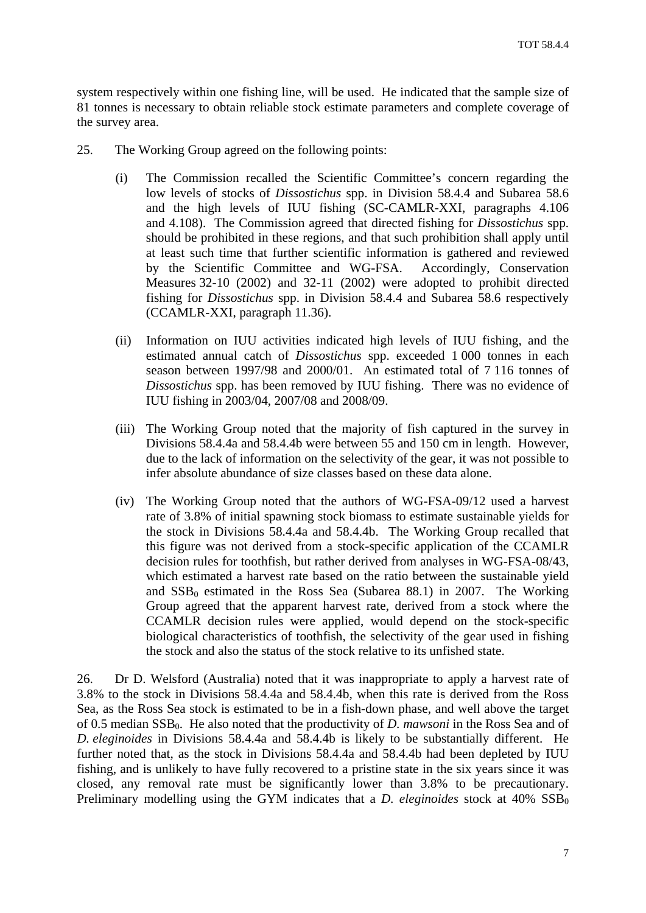system respectively within one fishing line, will be used. He indicated that the sample size of 81 tonnes is necessary to obtain reliable stock estimate parameters and complete coverage of the survey area.

- 25. The Working Group agreed on the following points:
	- (i) The Commission recalled the Scientific Committee's concern regarding the low levels of stocks of *Dissostichus* spp. in Division 58.4.4 and Subarea 58.6 and the high levels of IUU fishing (SC-CAMLR-XXI, paragraphs 4.106 and 4.108). The Commission agreed that directed fishing for *Dissostichus* spp. should be prohibited in these regions, and that such prohibition shall apply until at least such time that further scientific information is gathered and reviewed by the Scientific Committee and WG-FSA. Accordingly, Conservation Measures 32-10 (2002) and 32-11 (2002) were adopted to prohibit directed fishing for *Dissostichus* spp. in Division 58.4.4 and Subarea 58.6 respectively (CCAMLR-XXI, paragraph 11.36).
	- (ii) Information on IUU activities indicated high levels of IUU fishing, and the estimated annual catch of *Dissostichus* spp. exceeded 1 000 tonnes in each season between 1997/98 and 2000/01. An estimated total of 7 116 tonnes of *Dissostichus* spp. has been removed by IUU fishing. There was no evidence of IUU fishing in 2003/04, 2007/08 and 2008/09.
	- (iii) The Working Group noted that the majority of fish captured in the survey in Divisions 58.4.4a and 58.4.4b were between 55 and 150 cm in length. However, due to the lack of information on the selectivity of the gear, it was not possible to infer absolute abundance of size classes based on these data alone.
	- (iv) The Working Group noted that the authors of WG-FSA-09/12 used a harvest rate of 3.8% of initial spawning stock biomass to estimate sustainable yields for the stock in Divisions 58.4.4a and 58.4.4b. The Working Group recalled that this figure was not derived from a stock-specific application of the CCAMLR decision rules for toothfish, but rather derived from analyses in WG-FSA-08/43, which estimated a harvest rate based on the ratio between the sustainable yield and  $SSB<sub>0</sub>$  estimated in the Ross Sea (Subarea 88.1) in 2007. The Working Group agreed that the apparent harvest rate, derived from a stock where the CCAMLR decision rules were applied, would depend on the stock-specific biological characteristics of toothfish, the selectivity of the gear used in fishing the stock and also the status of the stock relative to its unfished state.

26. Dr D. Welsford (Australia) noted that it was inappropriate to apply a harvest rate of 3.8% to the stock in Divisions 58.4.4a and 58.4.4b, when this rate is derived from the Ross Sea, as the Ross Sea stock is estimated to be in a fish-down phase, and well above the target of 0.5 median SSB<sub>0</sub>. He also noted that the productivity of *D. mawsoni* in the Ross Sea and of *D. eleginoides* in Divisions 58.4.4a and 58.4.4b is likely to be substantially different. He further noted that, as the stock in Divisions 58.4.4a and 58.4.4b had been depleted by IUU fishing, and is unlikely to have fully recovered to a pristine state in the six years since it was closed, any removal rate must be significantly lower than 3.8% to be precautionary. Preliminary modelling using the GYM indicates that a  $D$ . *eleginoides* stock at  $40\%$  SSB<sub>0</sub>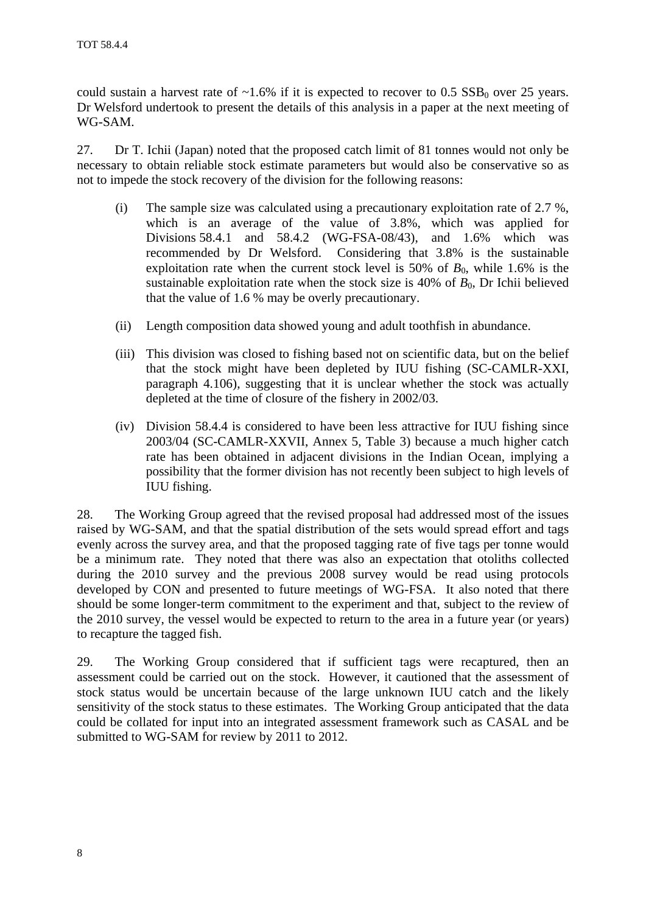could sustain a harvest rate of  $\sim 1.6\%$  if it is expected to recover to 0.5 SSB<sub>0</sub> over 25 years. Dr Welsford undertook to present the details of this analysis in a paper at the next meeting of WG-SAM.

27. Dr T. Ichii (Japan) noted that the proposed catch limit of 81 tonnes would not only be necessary to obtain reliable stock estimate parameters but would also be conservative so as not to impede the stock recovery of the division for the following reasons:

- (i) The sample size was calculated using a precautionary exploitation rate of 2.7 %, which is an average of the value of 3.8%, which was applied for Divisions 58.4.1 and 58.4.2 (WG-FSA-08/43), and 1.6% which was recommended by Dr Welsford. Considering that 3.8% is the sustainable exploitation rate when the current stock level is 50% of  $B_0$ , while 1.6% is the sustainable exploitation rate when the stock size is  $40\%$  of  $B_0$ . Dr Ichii believed that the value of 1.6 % may be overly precautionary.
- (ii) Length composition data showed young and adult toothfish in abundance.
- (iii) This division was closed to fishing based not on scientific data, but on the belief that the stock might have been depleted by IUU fishing (SC-CAMLR-XXI, paragraph 4.106), suggesting that it is unclear whether the stock was actually depleted at the time of closure of the fishery in 2002/03.
- (iv) Division 58.4.4 is considered to have been less attractive for IUU fishing since 2003/04 (SC-CAMLR-XXVII, Annex 5, Table 3) because a much higher catch rate has been obtained in adjacent divisions in the Indian Ocean, implying a possibility that the former division has not recently been subject to high levels of IUU fishing.

28. The Working Group agreed that the revised proposal had addressed most of the issues raised by WG-SAM, and that the spatial distribution of the sets would spread effort and tags evenly across the survey area, and that the proposed tagging rate of five tags per tonne would be a minimum rate. They noted that there was also an expectation that otoliths collected during the 2010 survey and the previous 2008 survey would be read using protocols developed by CON and presented to future meetings of WG-FSA. It also noted that there should be some longer-term commitment to the experiment and that, subject to the review of the 2010 survey, the vessel would be expected to return to the area in a future year (or years) to recapture the tagged fish.

29. The Working Group considered that if sufficient tags were recaptured, then an assessment could be carried out on the stock. However, it cautioned that the assessment of stock status would be uncertain because of the large unknown IUU catch and the likely sensitivity of the stock status to these estimates. The Working Group anticipated that the data could be collated for input into an integrated assessment framework such as CASAL and be submitted to WG-SAM for review by 2011 to 2012.